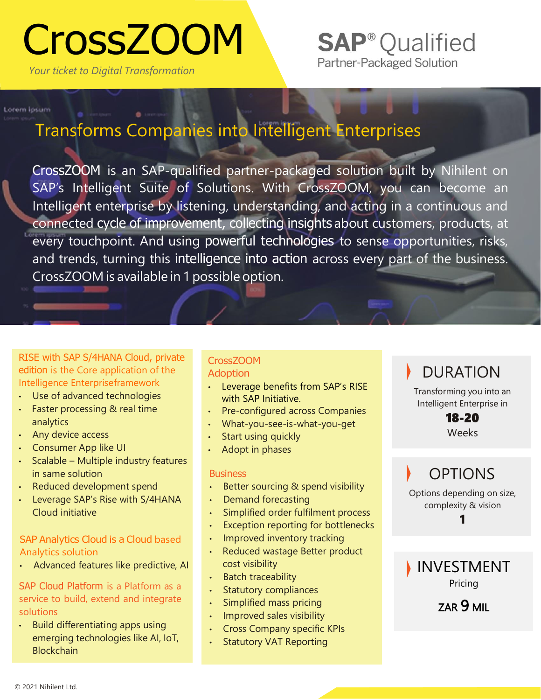# CrossZOOM

*Your ticket to Digital Transformation*

## **SAP<sup>®</sup>Qualified** Partner-Packaged Solution

#### Lorem Ipsum

# Transforms Companies into Intelligent Enterprises

CrossZOOM is an SAP-qualified partner-packaged solution built by Nihilent on SAP's Intelligent Suite of Solutions. With CrossZOOM, you can become an Intelligent enterprise by listening, understanding, and acting in a continuous and connected cycle of improvement, collecting insights about customers, products, at every touchpoint. And using powerful technologies to sense opportunities, risks, and trends, turning this intelligence into action across every part of the business. CrossZOOM is available in 1 possible option.

#### RISE with SAP S/4HANA Cloud, private edition is the Core application of the Intelligence Enterpriseframework

- Use of advanced technologies
- Faster processing & real time analytics
- Any device access
- Consumer App like UI
- Scalable Multiple industry features in same solution
- Reduced development spend
- Leverage SAP's Rise with S/4HANA Cloud initiative

#### SAP Analytics Cloud is a Cloud based Analytics solution

• Advanced features like predictive, AI

SAP Cloud Platform is a Platform as a service to build, extend and integrate solutions

• Build differentiating apps using emerging technologies like AI, IoT, **Blockchain** 

#### CrossZOOM Adoption

- Leverage benefits from SAP's RISE with SAP Initiative.
- Pre-configured across Companies
- What-you-see-is-what-you-get
- Start using quickly
- Adopt in phases

#### **Business**

- Better sourcing & spend visibility
- Demand forecasting
- Simplified order fulfilment process
- **Exception reporting for bottlenecks**
- Improved inventory tracking
- Reduced wastage Better product cost visibility
- Batch traceability
- Statutory compliances
- Simplified mass pricing
- Improved sales visibility
- Cross Company specific KPIs
- **Statutory VAT Reporting**

## DURATION

Transforming you into an Intelligent Enterprise in

> 18-20 Weeks

## OPTIONS

Options depending on size, complexity & vision



ZAR 9 MIL